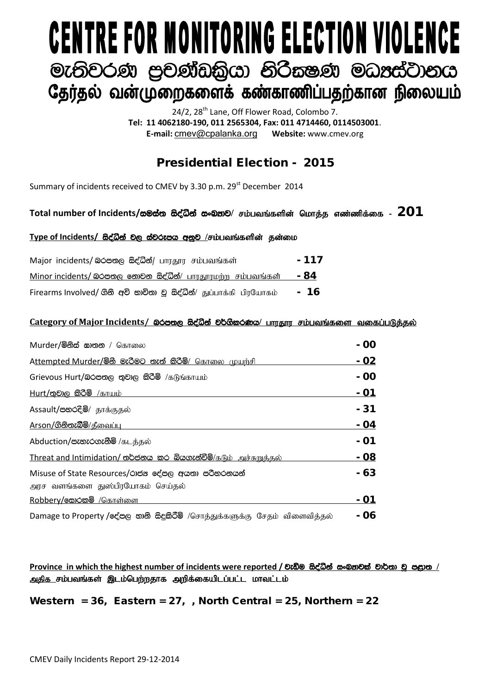# **CENTRE FOR MONITORING ELECTION VIOLENCE** මැතිවරණ පුචණ්ඩකිුයා නිරීකෂණ මධාප්ටානය தேர்தல் வன்முறைகளைக் கண்காணிப்பதற்கான நிலையம்

24/2, 28<sup>th</sup> Lane, Off Flower Road, Colombo 7. **Tel: 11 4062180-190, 011 2565304, Fax: 011 4714460, 0114503001**. **E-mail:** [cmev@cpalanka.org](mailto:cmev@cpalanka.org) **Website:** www.cmev.org

## Presidential Election - 2015

Summary of incidents received to CMEV by 3.30 p.m. 29<sup>st</sup> December 2014

### Total number of Incidents/සමස්ත සිද්ධීන් සංඛතව/ சம்பவங்களின் மொத்த எண்ணிக்கை - 201

#### Type of Incidents/ සිද්ධින් වල ස්වරූපය අනුව /சம்பவங்களின் தன்மை

| Major incidents/ லெக்ஸ்ரு க்ஜீலீக்/ பாரதூர சம்பவங்கள்               | $-117$ |
|---------------------------------------------------------------------|--------|
| Minor incidents/ லெக்ஸ்ரு கூற்கை க்ஜீல்க்/ பாரதூரமற்ற சம்பவங்கள்    | - 84   |
| Firearms Involved/ ගිනි අවි භාවිතා වු සිද්ධීන්/ துப்பாக்கி பிரயோகம் | - 16   |

#### Category of Major Incidents/ இ<del>රපත</del>ල සිද්ධීන් වර්ගීකරණය/ பாரதார சம்பவங்களை வகைப்படுத்தல்

| Murder/මිනිස් සාතන / கொலை                                                              | - 00          |
|----------------------------------------------------------------------------------------|---------------|
| Attempted Murder/මිනි මැරීමට තැත් කිරිමි/ கொலை முயற்சி                                 | - 02          |
| Grievous Hurt/බරපතල තුවාල කිරීම් /கடுங்காயம்                                           | - 00          |
| Hurt/තුවාල කිරිමි /காயம்                                                               | <u>  - 01</u> |
| Assault/පහරදීම්/ தாக்குதல்                                                             | - 31          |
| <u>Arson/ගිනිතැබීම්/கீவைப்ப</u>                                                        | - 04          |
| Abduction/පැහැරගැනීම් /கடத்தல்                                                         | - 01          |
| Threat and Intimidation/ තර්ජනය කර බියගැන්වීමි/கடும் அச்சுறுத்தல்                      | - 08          |
| Misuse of State Resources/රාජන දේපල අයතා පරිහරනයන්<br>அரச வளங்களை துஸ்பிரயோகம் செய்தல் | - 63          |
| Robbery/෩෮ෙ /கொள்ளை                                                                    | - 01          |
| Damage to Property /දේපල නානි සිදුකිරීම් /சொத்துக்களுக்கு சேதம் விளைவித்தல்            | - 06          |

 $P$ rovince in which the highest number of incidents were reported / වැඩිම සිද්ධින් සංඛුතුවක් වාර්තා වූ <del>පළ</del>ාත / அதிக சம்பவங்கள் இடம்பெற்றதாக அறிக்கையிடப்பட்ட மாவட்டம்

Western =  $36$ , Eastern =  $27$ , , North Central =  $25$ , Northern =  $22$